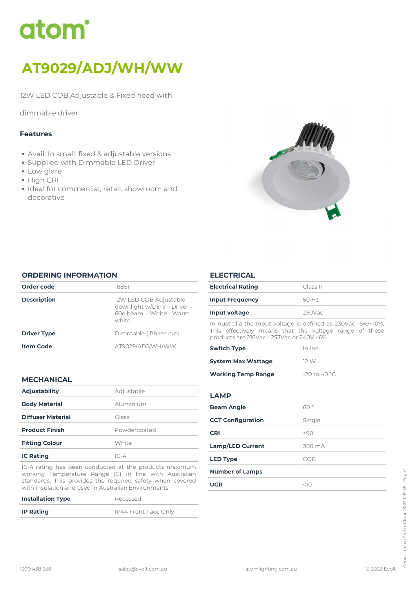

# *AT9029/ADJ/WH/WW*

*12W LED COB Adjustable & Fixed head with*

*dimmable driver*

## *Features*

- *Avail. In small, fixed & adjustable versions*
- *Supplied with Dimmable LED Driver*
- *Low glare*
- *High CRI*
- *Ideal for commercial, retail, showroom and decorative*



#### *ORDERING INFORMATION*

| Order code         | 18851                                                                                   |
|--------------------|-----------------------------------------------------------------------------------------|
| <b>Description</b> | 12W LED COB Adjustable<br>downlight w/Dimm Driver -<br>600 heam - White - Warm<br>white |
| <b>Driver Type</b> | Dimmable (Phase cut)                                                                    |
| <b>Item Code</b>   | AT9029/ADJ/WH/WW                                                                        |
|                    |                                                                                         |

# *MECHANICAL*

| <b>Adjustability</b>     | Adjustable   |  |
|--------------------------|--------------|--|
| <b>Body Material</b>     | Aluminium    |  |
| <b>Diffuser Material</b> | Glass        |  |
| <b>Product Finish</b>    | Powdercoated |  |
| <b>Fitting Colour</b>    | White        |  |
| <b>IC Rating</b>         | $IC-4$       |  |

*IC-4 rating has been conducted at the products maximum working Temperature Range (C) in line with Australian standards. This provides the required safety when covered with insulation and used in Australian Environments.*

| <b>Installation Type</b> | Recessed             |
|--------------------------|----------------------|
| <b>IP Rating</b>         | IP44 Front Face Only |

### *ELECTRICAL*

| <b>Electrical Rating</b>                                                                                                                                            | Class II  |  |
|---------------------------------------------------------------------------------------------------------------------------------------------------------------------|-----------|--|
| <b>Input Frequency</b>                                                                                                                                              | 50 Hz     |  |
| Input voltage                                                                                                                                                       | $230$ Vac |  |
| In Australia the Input voltage is defined as 230Vac -6%/+10%.<br>This effectively means that the voltage range of these<br>products are 216Vac - 253Vac or 240V +6% |           |  |
| <b>Switch Type</b>                                                                                                                                                  | Inline    |  |

| <b>System Max Wattage</b> | 12 W            |
|---------------------------|-----------------|
| <b>Working Temp Range</b> | $-20$ to 40 °C. |

# *LAMP*

| <b>Beam Angle</b>        | 60°    |
|--------------------------|--------|
| <b>CCT Configuration</b> | Single |
| <b>CRI</b>               | >90    |
| <b>Lamp/LED Current</b>  | 300 mA |
| <b>LED Type</b>          | COB    |
| <b>Number of Lamps</b>   |        |
| <b>UGR</b>               | <10    |
|                          |        |